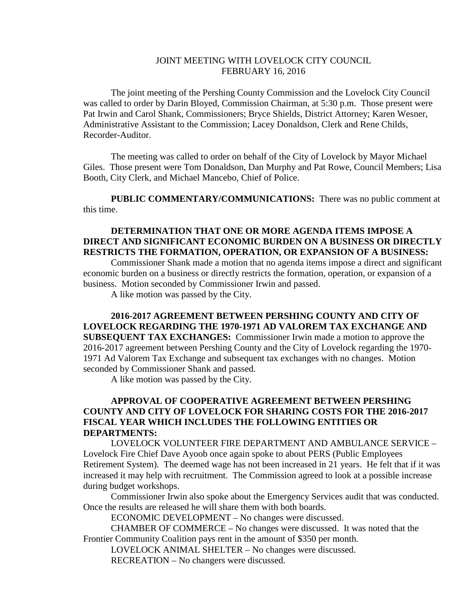## JOINT MEETING WITH LOVELOCK CITY COUNCIL FEBRUARY 16, 2016

The joint meeting of the Pershing County Commission and the Lovelock City Council was called to order by Darin Bloyed, Commission Chairman, at 5:30 p.m. Those present were Pat Irwin and Carol Shank, Commissioners; Bryce Shields, District Attorney; Karen Wesner, Administrative Assistant to the Commission; Lacey Donaldson, Clerk and Rene Childs, Recorder-Auditor.

The meeting was called to order on behalf of the City of Lovelock by Mayor Michael Giles. Those present were Tom Donaldson, Dan Murphy and Pat Rowe, Council Members; Lisa Booth, City Clerk, and Michael Mancebo, Chief of Police.

**PUBLIC COMMENTARY/COMMUNICATIONS:** There was no public comment at this time.

## **DETERMINATION THAT ONE OR MORE AGENDA ITEMS IMPOSE A DIRECT AND SIGNIFICANT ECONOMIC BURDEN ON A BUSINESS OR DIRECTLY RESTRICTS THE FORMATION, OPERATION, OR EXPANSION OF A BUSINESS:**

Commissioner Shank made a motion that no agenda items impose a direct and significant economic burden on a business or directly restricts the formation, operation, or expansion of a business. Motion seconded by Commissioner Irwin and passed.

A like motion was passed by the City.

**2016-2017 AGREEMENT BETWEEN PERSHING COUNTY AND CITY OF LOVELOCK REGARDING THE 1970-1971 AD VALOREM TAX EXCHANGE AND SUBSEQUENT TAX EXCHANGES:** Commissioner Irwin made a motion to approve the 2016-2017 agreement between Pershing County and the City of Lovelock regarding the 1970- 1971 Ad Valorem Tax Exchange and subsequent tax exchanges with no changes. Motion seconded by Commissioner Shank and passed.

A like motion was passed by the City.

## **APPROVAL OF COOPERATIVE AGREEMENT BETWEEN PERSHING COUNTY AND CITY OF LOVELOCK FOR SHARING COSTS FOR THE 2016-2017 FISCAL YEAR WHICH INCLUDES THE FOLLOWING ENTITIES OR DEPARTMENTS:**

LOVELOCK VOLUNTEER FIRE DEPARTMENT AND AMBULANCE SERVICE – Lovelock Fire Chief Dave Ayoob once again spoke to about PERS (Public Employees Retirement System). The deemed wage has not been increased in 21 years. He felt that if it was increased it may help with recruitment. The Commission agreed to look at a possible increase during budget workshops.

Commissioner Irwin also spoke about the Emergency Services audit that was conducted. Once the results are released he will share them with both boards.

ECONOMIC DEVELOPMENT – No changes were discussed.

CHAMBER OF COMMERCE – No changes were discussed. It was noted that the Frontier Community Coalition pays rent in the amount of \$350 per month.

LOVELOCK ANIMAL SHELTER – No changes were discussed. RECREATION – No changers were discussed.